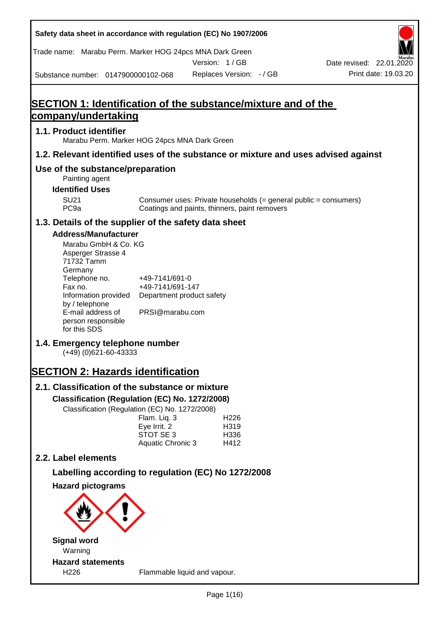| Safety data sheet in accordance with regulation (EC) No 1907/2006                                                                                                                                                                                                                                                                                                                                                                                                                                    |                                                                                                    |                                                                                                                   |                          |
|------------------------------------------------------------------------------------------------------------------------------------------------------------------------------------------------------------------------------------------------------------------------------------------------------------------------------------------------------------------------------------------------------------------------------------------------------------------------------------------------------|----------------------------------------------------------------------------------------------------|-------------------------------------------------------------------------------------------------------------------|--------------------------|
| Trade name: Marabu Perm. Marker HOG 24pcs MNA Dark Green                                                                                                                                                                                                                                                                                                                                                                                                                                             |                                                                                                    |                                                                                                                   |                          |
|                                                                                                                                                                                                                                                                                                                                                                                                                                                                                                      |                                                                                                    | Version: 1/GB                                                                                                     | Date revised: 22.01.2020 |
| Substance number: 0147900000102-068                                                                                                                                                                                                                                                                                                                                                                                                                                                                  |                                                                                                    | Replaces Version: - / GB                                                                                          | Print date: 19.03.20     |
|                                                                                                                                                                                                                                                                                                                                                                                                                                                                                                      |                                                                                                    | SECTION 1: Identification of the substance/mixture and of the                                                     |                          |
| company/undertaking                                                                                                                                                                                                                                                                                                                                                                                                                                                                                  |                                                                                                    |                                                                                                                   |                          |
| 1.1. Product identifier<br>Marabu Perm. Marker HOG 24pcs MNA Dark Green                                                                                                                                                                                                                                                                                                                                                                                                                              |                                                                                                    |                                                                                                                   |                          |
|                                                                                                                                                                                                                                                                                                                                                                                                                                                                                                      |                                                                                                    | 1.2. Relevant identified uses of the substance or mixture and uses advised against                                |                          |
| Use of the substance/preparation<br>Painting agent                                                                                                                                                                                                                                                                                                                                                                                                                                                   |                                                                                                    |                                                                                                                   |                          |
| <b>Identified Uses</b>                                                                                                                                                                                                                                                                                                                                                                                                                                                                               |                                                                                                    |                                                                                                                   |                          |
| <b>SU21</b><br>PC <sub>9a</sub>                                                                                                                                                                                                                                                                                                                                                                                                                                                                      |                                                                                                    | Consumer uses: Private households (= general public = consumers)<br>Coatings and paints, thinners, paint removers |                          |
| 1.3. Details of the supplier of the safety data sheet                                                                                                                                                                                                                                                                                                                                                                                                                                                |                                                                                                    |                                                                                                                   |                          |
| <b>Address/Manufacturer</b><br>Marabu GmbH & Co. KG<br>Asperger Strasse 4<br>71732 Tamm<br>Germany<br>Telephone no.<br>Fax no.<br>Information provided<br>by / telephone<br>E-mail address of<br>person responsible<br>for this SDS<br>1.4. Emergency telephone number<br>$(+49)$ (0)621-60-43333<br><b>SECTION 2: Hazards identification</b><br>2.1. Classification of the substance or mixture<br>Classification (Regulation (EC) No. 1272/2008)<br>Classification (Regulation (EC) No. 1272/2008) | +49-7141/691-0<br>+49-7141/691-147<br>PRSI@marabu.com<br>Flam. Liq. 3<br>Eye Irrit. 2<br>STOT SE 3 | Department product safety<br>H <sub>226</sub><br>H319<br>H336                                                     |                          |
|                                                                                                                                                                                                                                                                                                                                                                                                                                                                                                      | Aquatic Chronic 3                                                                                  | H412                                                                                                              |                          |
| 2.2. Label elements                                                                                                                                                                                                                                                                                                                                                                                                                                                                                  |                                                                                                    |                                                                                                                   |                          |
|                                                                                                                                                                                                                                                                                                                                                                                                                                                                                                      |                                                                                                    | Labelling according to regulation (EC) No 1272/2008                                                               |                          |
| <b>Hazard pictograms</b><br><b>Signal word</b>                                                                                                                                                                                                                                                                                                                                                                                                                                                       |                                                                                                    |                                                                                                                   |                          |
| Warning                                                                                                                                                                                                                                                                                                                                                                                                                                                                                              |                                                                                                    |                                                                                                                   |                          |
| <b>Hazard statements</b>                                                                                                                                                                                                                                                                                                                                                                                                                                                                             |                                                                                                    |                                                                                                                   |                          |
| H226                                                                                                                                                                                                                                                                                                                                                                                                                                                                                                 |                                                                                                    | Flammable liquid and vapour.                                                                                      |                          |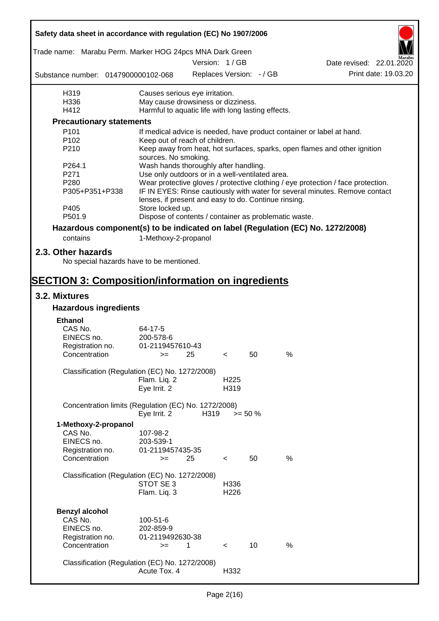| Safety data sheet in accordance with regulation (EC) No 1907/2006               |                                                                           |      |                          |            |      |                                                                                  |  |  |  |
|---------------------------------------------------------------------------------|---------------------------------------------------------------------------|------|--------------------------|------------|------|----------------------------------------------------------------------------------|--|--|--|
| Trade name: Marabu Perm. Marker HOG 24pcs MNA Dark Green                        |                                                                           |      |                          |            |      |                                                                                  |  |  |  |
|                                                                                 |                                                                           |      | Version: 1 / GB          |            |      | Date revised: 22.01.2020                                                         |  |  |  |
| Substance number: 0147900000102-068                                             |                                                                           |      | Replaces Version: - / GB |            |      | Print date: 19.03.20                                                             |  |  |  |
| H319                                                                            | Causes serious eye irritation.                                            |      |                          |            |      |                                                                                  |  |  |  |
| H336                                                                            | May cause drowsiness or dizziness.                                        |      |                          |            |      |                                                                                  |  |  |  |
| H412                                                                            | Harmful to aquatic life with long lasting effects.                        |      |                          |            |      |                                                                                  |  |  |  |
| <b>Precautionary statements</b>                                                 |                                                                           |      |                          |            |      |                                                                                  |  |  |  |
| P <sub>101</sub>                                                                |                                                                           |      |                          |            |      | If medical advice is needed, have product container or label at hand.            |  |  |  |
| P102                                                                            | Keep out of reach of children.                                            |      |                          |            |      |                                                                                  |  |  |  |
| P210                                                                            | sources. No smoking.                                                      |      |                          |            |      | Keep away from heat, hot surfaces, sparks, open flames and other ignition        |  |  |  |
| P264.1                                                                          | Wash hands thoroughly after handling.                                     |      |                          |            |      |                                                                                  |  |  |  |
| P271                                                                            | Use only outdoors or in a well-ventilated area.                           |      |                          |            |      |                                                                                  |  |  |  |
| P280                                                                            |                                                                           |      |                          |            |      | Wear protective gloves / protective clothing / eye protection / face protection. |  |  |  |
| P305+P351+P338<br>P405                                                          | lenses, if present and easy to do. Continue rinsing.                      |      |                          |            |      | IF IN EYES: Rinse cautiously with water for several minutes. Remove contact      |  |  |  |
| P501.9                                                                          | Store locked up.<br>Dispose of contents / container as problematic waste. |      |                          |            |      |                                                                                  |  |  |  |
|                                                                                 |                                                                           |      |                          |            |      |                                                                                  |  |  |  |
| Hazardous component(s) to be indicated on label (Regulation (EC) No. 1272/2008) |                                                                           |      |                          |            |      |                                                                                  |  |  |  |
| contains                                                                        | 1-Methoxy-2-propanol                                                      |      |                          |            |      |                                                                                  |  |  |  |
| 2.3. Other hazards<br>No special hazards have to be mentioned.                  |                                                                           |      |                          |            |      |                                                                                  |  |  |  |
| <b>SECTION 3: Composition/information on ingredients</b>                        |                                                                           |      |                          |            |      |                                                                                  |  |  |  |
| 3.2. Mixtures                                                                   |                                                                           |      |                          |            |      |                                                                                  |  |  |  |
| <b>Hazardous ingredients</b>                                                    |                                                                           |      |                          |            |      |                                                                                  |  |  |  |
|                                                                                 |                                                                           |      |                          |            |      |                                                                                  |  |  |  |
| <b>Ethanol</b><br>CAS No.                                                       | 64-17-5                                                                   |      |                          |            |      |                                                                                  |  |  |  |
| EINECS no.                                                                      | 200-578-6                                                                 |      |                          |            |      |                                                                                  |  |  |  |
| Registration no.                                                                | 01-2119457610-43                                                          |      |                          |            |      |                                                                                  |  |  |  |
| Concentration                                                                   | $>=$ 25                                                                   |      | $\epsilon$               | 50         | %    |                                                                                  |  |  |  |
|                                                                                 |                                                                           |      |                          |            |      |                                                                                  |  |  |  |
| Classification (Regulation (EC) No. 1272/2008)                                  |                                                                           |      |                          |            |      |                                                                                  |  |  |  |
|                                                                                 | Flam. Liq. 2<br>Eye Irrit. 2                                              |      | H <sub>225</sub><br>H319 |            |      |                                                                                  |  |  |  |
|                                                                                 |                                                                           |      |                          |            |      |                                                                                  |  |  |  |
| Concentration limits (Regulation (EC) No. 1272/2008)                            | Eye Irrit. 2                                                              | H319 |                          | $>= 50 \%$ |      |                                                                                  |  |  |  |
| 1-Methoxy-2-propanol                                                            |                                                                           |      |                          |            |      |                                                                                  |  |  |  |
| CAS No.                                                                         | 107-98-2                                                                  |      |                          |            |      |                                                                                  |  |  |  |
| EINECS no.                                                                      | 203-539-1                                                                 |      |                          |            |      |                                                                                  |  |  |  |
| Registration no.                                                                | 01-2119457435-35                                                          |      |                          |            |      |                                                                                  |  |  |  |
| Concentration                                                                   | $>=$                                                                      | 25   | $\,<\,$                  | 50         | $\%$ |                                                                                  |  |  |  |
|                                                                                 |                                                                           |      |                          |            |      |                                                                                  |  |  |  |
| Classification (Regulation (EC) No. 1272/2008)                                  |                                                                           |      |                          |            |      |                                                                                  |  |  |  |
|                                                                                 | STOT SE 3                                                                 |      | H336                     |            |      |                                                                                  |  |  |  |
|                                                                                 | Flam. Liq. 3                                                              |      | H226                     |            |      |                                                                                  |  |  |  |
|                                                                                 |                                                                           |      |                          |            |      |                                                                                  |  |  |  |
| <b>Benzyl alcohol</b><br>CAS No.                                                |                                                                           |      |                          |            |      |                                                                                  |  |  |  |
| EINECS no.                                                                      | 100-51-6<br>202-859-9                                                     |      |                          |            |      |                                                                                  |  |  |  |
| Registration no.                                                                | 01-2119492630-38                                                          |      |                          |            |      |                                                                                  |  |  |  |
| Concentration                                                                   | $>=$                                                                      | 1    | $\prec$                  | 10         | %    |                                                                                  |  |  |  |
|                                                                                 |                                                                           |      |                          |            |      |                                                                                  |  |  |  |
| Classification (Regulation (EC) No. 1272/2008)                                  |                                                                           |      |                          |            |      |                                                                                  |  |  |  |
|                                                                                 | Acute Tox. 4                                                              |      | H332                     |            |      |                                                                                  |  |  |  |
|                                                                                 |                                                                           |      |                          |            |      |                                                                                  |  |  |  |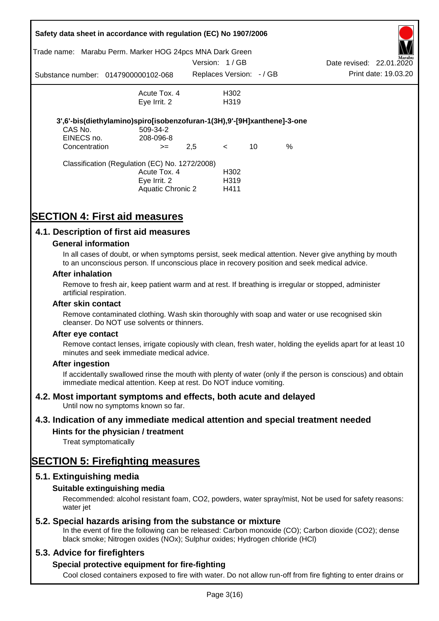| Trade name:                         | Safety data sheet in accordance with regulation (EC) No 1907/2006<br>Marabu Perm. Marker HOG 24pcs MNA Dark Green |               |                          |    |      |                          |                      |
|-------------------------------------|-------------------------------------------------------------------------------------------------------------------|---------------|--------------------------|----|------|--------------------------|----------------------|
|                                     |                                                                                                                   | Version: 1/GB |                          |    |      | Date revised: 22.01.2020 | Marabu               |
| Substance number: 0147900000102-068 |                                                                                                                   |               | Replaces Version: - / GB |    |      |                          | Print date: 19.03.20 |
|                                     | Acute Tox. 4                                                                                                      |               | H302                     |    |      |                          |                      |
|                                     | Eye Irrit. 2                                                                                                      |               | H <sub>3</sub> 19        |    |      |                          |                      |
|                                     | 3',6'-bis(diethylamino)spiro[isobenzofuran-1(3H),9'-[9H]xanthene]-3-one                                           |               |                          |    |      |                          |                      |
| CAS No.<br>EINECS no.               | 509-34-2<br>208-096-8                                                                                             |               |                          |    |      |                          |                      |
| Concentration                       | $>=$                                                                                                              | 2,5           | $\lt$                    | 10 | $\%$ |                          |                      |
|                                     | Classification (Regulation (EC) No. 1272/2008)                                                                    |               |                          |    |      |                          |                      |
|                                     | Acute Tox. 4                                                                                                      |               | H <sub>302</sub>         |    |      |                          |                      |
|                                     | Eye Irrit. 2                                                                                                      |               | H <sub>3</sub> 19        |    |      |                          |                      |
|                                     | Aquatic Chronic 2                                                                                                 |               | H411                     |    |      |                          |                      |

# **SECTION 4: First aid measures**

## **4.1. Description of first aid measures**

### **General information**

In all cases of doubt, or when symptoms persist, seek medical attention. Never give anything by mouth to an unconscious person. If unconscious place in recovery position and seek medical advice.

### **After inhalation**

Remove to fresh air, keep patient warm and at rest. If breathing is irregular or stopped, administer artificial respiration.

#### **After skin contact**

Remove contaminated clothing. Wash skin thoroughly with soap and water or use recognised skin cleanser. Do NOT use solvents or thinners.

#### **After eye contact**

Remove contact lenses, irrigate copiously with clean, fresh water, holding the eyelids apart for at least 10 minutes and seek immediate medical advice.

### **After ingestion**

If accidentally swallowed rinse the mouth with plenty of water (only if the person is conscious) and obtain immediate medical attention. Keep at rest. Do NOT induce vomiting.

### **4.2. Most important symptoms and effects, both acute and delayed**

Until now no symptoms known so far.

### **4.3. Indication of any immediate medical attention and special treatment needed**

### **Hints for the physician / treatment**

Treat symptomatically

# **SECTION 5: Firefighting measures**

### **5.1. Extinguishing media**

### **Suitable extinguishing media**

Recommended: alcohol resistant foam, CO2, powders, water spray/mist, Not be used for safety reasons: water *iet* 

### **5.2. Special hazards arising from the substance or mixture**

In the event of fire the following can be released: Carbon monoxide (CO); Carbon dioxide (CO2); dense black smoke; Nitrogen oxides (NOx); Sulphur oxides; Hydrogen chloride (HCl)

### **5.3. Advice for firefighters**

### **Special protective equipment for fire-fighting**

Cool closed containers exposed to fire with water. Do not allow run-off from fire fighting to enter drains or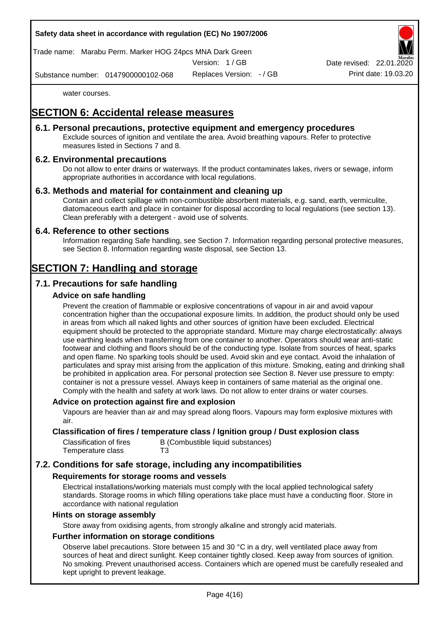Trade name: Marabu Perm. Marker HOG 24pcs MNA Dark Green

Version: 1 / GB

Replaces Version: - / GB Print date: 19.03.20 Date revised: 22.01.

Substance number: 0147900000102-068

water courses.

# **SECTION 6: Accidental release measures**

### **6.1. Personal precautions, protective equipment and emergency procedures**

Exclude sources of ignition and ventilate the area. Avoid breathing vapours. Refer to protective measures listed in Sections 7 and 8.

## **6.2. Environmental precautions**

Do not allow to enter drains or waterways. If the product contaminates lakes, rivers or sewage, inform appropriate authorities in accordance with local regulations.

## **6.3. Methods and material for containment and cleaning up**

Contain and collect spillage with non-combustible absorbent materials, e.g. sand, earth, vermiculite, diatomaceous earth and place in container for disposal according to local regulations (see section 13). Clean preferably with a detergent - avoid use of solvents.

### **6.4. Reference to other sections**

Information regarding Safe handling, see Section 7. Information regarding personal protective measures, see Section 8. Information regarding waste disposal, see Section 13.

# **SECTION 7: Handling and storage**

## **7.1. Precautions for safe handling**

## **Advice on safe handling**

Prevent the creation of flammable or explosive concentrations of vapour in air and avoid vapour concentration higher than the occupational exposure limits. In addition, the product should only be used in areas from which all naked lights and other sources of ignition have been excluded. Electrical equipment should be protected to the appropriate standard. Mixture may charge electrostatically: always use earthing leads when transferring from one container to another. Operators should wear anti-static footwear and clothing and floors should be of the conducting type. Isolate from sources of heat, sparks and open flame. No sparking tools should be used. Avoid skin and eye contact. Avoid the inhalation of particulates and spray mist arising from the application of this mixture. Smoking, eating and drinking shall be prohibited in application area. For personal protection see Section 8. Never use pressure to empty: container is not a pressure vessel. Always keep in containers of same material as the original one. Comply with the health and safety at work laws. Do not allow to enter drains or water courses.

### **Advice on protection against fire and explosion**

Vapours are heavier than air and may spread along floors. Vapours may form explosive mixtures with air.

### **Classification of fires / temperature class / Ignition group / Dust explosion class**

| Classification of fires | B (Combustible liquid substances) |
|-------------------------|-----------------------------------|
| Temperature class       | T3                                |

# **7.2. Conditions for safe storage, including any incompatibilities**

### **Requirements for storage rooms and vessels**

Electrical installations/working materials must comply with the local applied technological safety standards. Storage rooms in which filling operations take place must have a conducting floor. Store in accordance with national regulation

### **Hints on storage assembly**

Store away from oxidising agents, from strongly alkaline and strongly acid materials.

### **Further information on storage conditions**

Observe label precautions. Store between 15 and 30 °C in a dry, well ventilated place away from sources of heat and direct sunlight. Keep container tightly closed. Keep away from sources of ignition. No smoking. Prevent unauthorised access. Containers which are opened must be carefully resealed and kept upright to prevent leakage.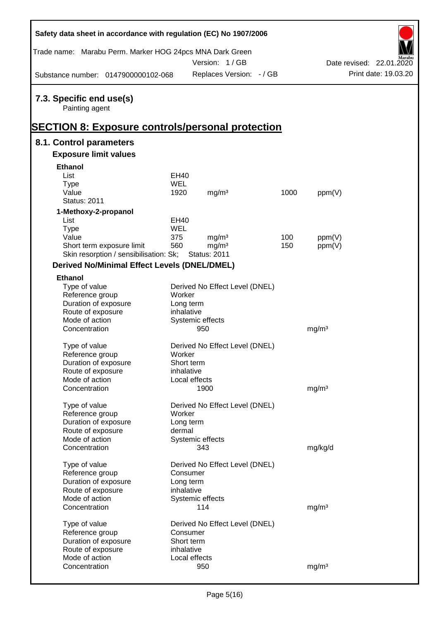| Safety data sheet in accordance with regulation (EC) No 1907/2006                                     |             |                                |      |                   |                          |
|-------------------------------------------------------------------------------------------------------|-------------|--------------------------------|------|-------------------|--------------------------|
| Trade name: Marabu Perm. Marker HOG 24pcs MNA Dark Green                                              |             | Version: 1/GB                  |      |                   | Date revised: 22.01.2020 |
| Substance number: 0147900000102-068                                                                   |             | Replaces Version: - / GB       |      |                   | Print date: 19.03.20     |
| 7.3. Specific end use(s)<br>Painting agent<br><b>SECTION 8: Exposure controls/personal protection</b> |             |                                |      |                   |                          |
| 8.1. Control parameters                                                                               |             |                                |      |                   |                          |
| <b>Exposure limit values</b>                                                                          |             |                                |      |                   |                          |
| <b>Ethanol</b>                                                                                        |             |                                |      |                   |                          |
| List                                                                                                  | <b>EH40</b> |                                |      |                   |                          |
| <b>Type</b>                                                                                           | <b>WEL</b>  |                                |      |                   |                          |
| Value                                                                                                 | 1920        | mg/m <sup>3</sup>              | 1000 | ppm(V)            |                          |
| <b>Status: 2011</b>                                                                                   |             |                                |      |                   |                          |
| 1-Methoxy-2-propanol                                                                                  |             |                                |      |                   |                          |
| List                                                                                                  | EH40        |                                |      |                   |                          |
| <b>Type</b>                                                                                           | WEL         |                                |      |                   |                          |
| Value                                                                                                 | 375         | mg/m <sup>3</sup>              | 100  | ppm(V)            |                          |
| Short term exposure limit                                                                             | 560         | mg/m <sup>3</sup>              | 150  | ppm(V)            |                          |
| Skin resorption / sensibilisation: Sk;                                                                |             | <b>Status: 2011</b>            |      |                   |                          |
| <b>Derived No/Minimal Effect Levels (DNEL/DMEL)</b>                                                   |             |                                |      |                   |                          |
| <b>Ethanol</b>                                                                                        |             |                                |      |                   |                          |
| Type of value                                                                                         |             | Derived No Effect Level (DNEL) |      |                   |                          |
| Reference group                                                                                       | Worker      |                                |      |                   |                          |
| Duration of exposure                                                                                  | Long term   |                                |      |                   |                          |
| Route of exposure                                                                                     | inhalative  |                                |      |                   |                          |
| Mode of action                                                                                        |             | Systemic effects               |      |                   |                          |
| Concentration                                                                                         |             | 950                            |      | mg/m <sup>3</sup> |                          |
| Type of value                                                                                         |             | Derived No Effect Level (DNEL) |      |                   |                          |
| Reference group                                                                                       | Worker      |                                |      |                   |                          |
| Duration of exposure                                                                                  | Short term  |                                |      |                   |                          |
| Route of exposure                                                                                     | inhalative  |                                |      |                   |                          |
| Mode of action                                                                                        |             | Local effects                  |      |                   |                          |
| Concentration                                                                                         |             | 1900                           |      | mg/m <sup>3</sup> |                          |
|                                                                                                       |             |                                |      |                   |                          |
| Type of value                                                                                         |             | Derived No Effect Level (DNEL) |      |                   |                          |
| Reference group                                                                                       | Worker      |                                |      |                   |                          |
| Duration of exposure                                                                                  | Long term   |                                |      |                   |                          |
| Route of exposure                                                                                     | dermal      |                                |      |                   |                          |
| Mode of action                                                                                        |             | Systemic effects               |      |                   |                          |
| Concentration                                                                                         |             | 343                            |      | mg/kg/d           |                          |
|                                                                                                       |             |                                |      |                   |                          |
| Type of value<br>Reference group                                                                      | Consumer    | Derived No Effect Level (DNEL) |      |                   |                          |
| Duration of exposure                                                                                  | Long term   |                                |      |                   |                          |
| Route of exposure                                                                                     | inhalative  |                                |      |                   |                          |
| Mode of action                                                                                        |             | Systemic effects               |      |                   |                          |
| Concentration                                                                                         |             | 114                            |      | mg/m <sup>3</sup> |                          |
|                                                                                                       |             |                                |      |                   |                          |
| Type of value                                                                                         |             | Derived No Effect Level (DNEL) |      |                   |                          |
| Reference group                                                                                       | Consumer    |                                |      |                   |                          |
| Duration of exposure                                                                                  | Short term  |                                |      |                   |                          |
| Route of exposure                                                                                     | inhalative  |                                |      |                   |                          |
| Mode of action                                                                                        |             | Local effects                  |      |                   |                          |
| Concentration                                                                                         |             | 950                            |      | mg/m <sup>3</sup> |                          |

Г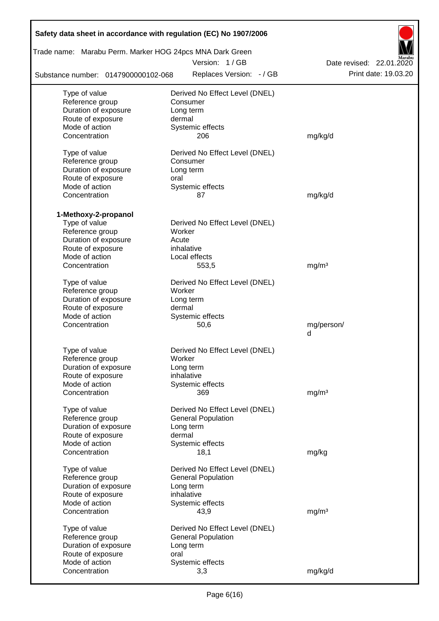| Trade name: Marabu Perm. Marker HOG 24pcs MNA Dark Green |                                |                          |
|----------------------------------------------------------|--------------------------------|--------------------------|
|                                                          | Version: 1/GB                  | Date revised: 22.01.2020 |
| Substance number: 0147900000102-068                      | Replaces Version: - / GB       | Print date: 19.03.20     |
| Type of value                                            | Derived No Effect Level (DNEL) |                          |
| Reference group                                          | Consumer                       |                          |
| Duration of exposure                                     | Long term                      |                          |
| Route of exposure                                        | dermal                         |                          |
| Mode of action<br>Concentration                          | Systemic effects<br>206        | mg/kg/d                  |
|                                                          |                                |                          |
| Type of value                                            | Derived No Effect Level (DNEL) |                          |
| Reference group                                          | Consumer                       |                          |
| Duration of exposure                                     | Long term                      |                          |
| Route of exposure                                        | oral                           |                          |
| Mode of action                                           | Systemic effects               |                          |
| Concentration                                            | 87                             | mg/kg/d                  |
| 1-Methoxy-2-propanol                                     |                                |                          |
| Type of value                                            | Derived No Effect Level (DNEL) |                          |
| Reference group                                          | Worker                         |                          |
| Duration of exposure                                     | Acute                          |                          |
| Route of exposure                                        | inhalative                     |                          |
| Mode of action                                           | Local effects                  |                          |
| Concentration                                            | 553,5                          | mg/m <sup>3</sup>        |
| Type of value                                            | Derived No Effect Level (DNEL) |                          |
| Reference group                                          | Worker                         |                          |
| Duration of exposure                                     | Long term                      |                          |
| Route of exposure                                        | dermal                         |                          |
| Mode of action                                           | Systemic effects               |                          |
| Concentration                                            | 50,6                           | mg/person/               |
|                                                          |                                | d                        |
|                                                          | Derived No Effect Level (DNEL) |                          |
| Type of value<br>Reference group                         | Worker                         |                          |
| Duration of exposure                                     | Long term                      |                          |
| Route of exposure                                        | inhalative                     |                          |
| Mode of action                                           | Systemic effects               |                          |
| Concentration                                            | 369                            | mg/m <sup>3</sup>        |
|                                                          |                                |                          |
| Type of value                                            | Derived No Effect Level (DNEL) |                          |
| Reference group                                          | <b>General Population</b>      |                          |
| Duration of exposure                                     | Long term                      |                          |
| Route of exposure                                        | dermal                         |                          |
| Mode of action                                           | Systemic effects               |                          |
| Concentration                                            | 18,1                           | mg/kg                    |
| Type of value                                            | Derived No Effect Level (DNEL) |                          |
| Reference group                                          | <b>General Population</b>      |                          |
| Duration of exposure                                     | Long term                      |                          |
| Route of exposure                                        | inhalative                     |                          |
| Mode of action                                           | Systemic effects               |                          |
| Concentration                                            | 43,9                           | mg/m <sup>3</sup>        |
| Type of value                                            | Derived No Effect Level (DNEL) |                          |
| Reference group                                          | <b>General Population</b>      |                          |
| Duration of exposure                                     | Long term                      |                          |
| Route of exposure                                        | oral                           |                          |
| Mode of action                                           | Systemic effects               |                          |
| Concentration                                            | 3,3                            | mg/kg/d                  |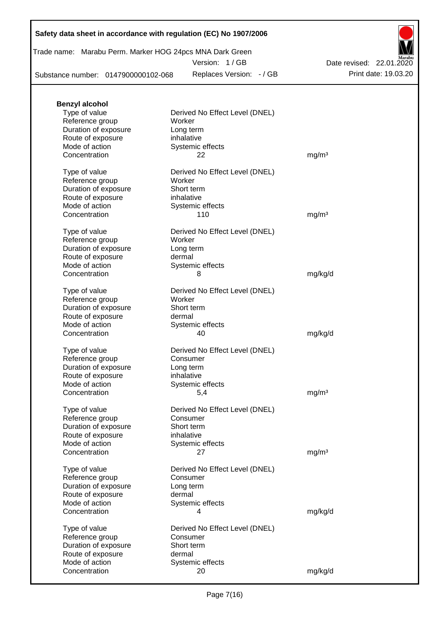Trade name: Marabu Perm. Marker HOG 24pcs MNA Dark Green

Version: 1 / GB

Substance number: 0147900000102-068

Replaces Version: - / GB Print date: 19.03.20 Date revised: 22.01.2020

| <b>Benzyl alcohol</b> |                                |                   |
|-----------------------|--------------------------------|-------------------|
| Type of value         | Derived No Effect Level (DNEL) |                   |
| Reference group       | Worker                         |                   |
| Duration of exposure  | Long term                      |                   |
| Route of exposure     | inhalative                     |                   |
| Mode of action        | Systemic effects               |                   |
| Concentration         | 22                             | mg/m <sup>3</sup> |
|                       |                                |                   |
| Type of value         | Derived No Effect Level (DNEL) |                   |
| Reference group       | Worker                         |                   |
| Duration of exposure  | Short term                     |                   |
|                       |                                |                   |
| Route of exposure     | inhalative                     |                   |
| Mode of action        | Systemic effects               |                   |
| Concentration         | 110                            | mg/m <sup>3</sup> |
| Type of value         | Derived No Effect Level (DNEL) |                   |
| Reference group       | Worker                         |                   |
|                       |                                |                   |
| Duration of exposure  | Long term                      |                   |
| Route of exposure     | dermal                         |                   |
| Mode of action        | Systemic effects               |                   |
| Concentration         | 8                              | mg/kg/d           |
|                       | Derived No Effect Level (DNEL) |                   |
| Type of value         | Worker                         |                   |
| Reference group       |                                |                   |
| Duration of exposure  | Short term                     |                   |
| Route of exposure     | dermal                         |                   |
| Mode of action        | Systemic effects               |                   |
| Concentration         | 40                             | mg/kg/d           |
| Type of value         | Derived No Effect Level (DNEL) |                   |
|                       |                                |                   |
| Reference group       | Consumer                       |                   |
| Duration of exposure  | Long term                      |                   |
| Route of exposure     | inhalative                     |                   |
| Mode of action        | Systemic effects               |                   |
| Concentration         | 5,4                            | mg/m <sup>3</sup> |
|                       |                                |                   |
| Type of value         | Derived No Effect Level (DNEL) |                   |
| Reference group       | Consumer                       |                   |
| Duration of exposure  | Short term                     |                   |
| Route of exposure     | inhalative                     |                   |
| Mode of action        | Systemic effects               |                   |
| Concentration         | 27                             | mg/m <sup>3</sup> |
| Type of value         | Derived No Effect Level (DNEL) |                   |
|                       |                                |                   |
| Reference group       | Consumer                       |                   |
| Duration of exposure  | Long term                      |                   |
| Route of exposure     | dermal                         |                   |
| Mode of action        | Systemic effects               |                   |
| Concentration         | 4                              | mg/kg/d           |
|                       |                                |                   |
| Type of value         | Derived No Effect Level (DNEL) |                   |
| Reference group       | Consumer                       |                   |
| Duration of exposure  | Short term                     |                   |
| Route of exposure     | dermal                         |                   |
| Mode of action        | Systemic effects               |                   |
| Concentration         | 20                             | mg/kg/d           |
|                       |                                |                   |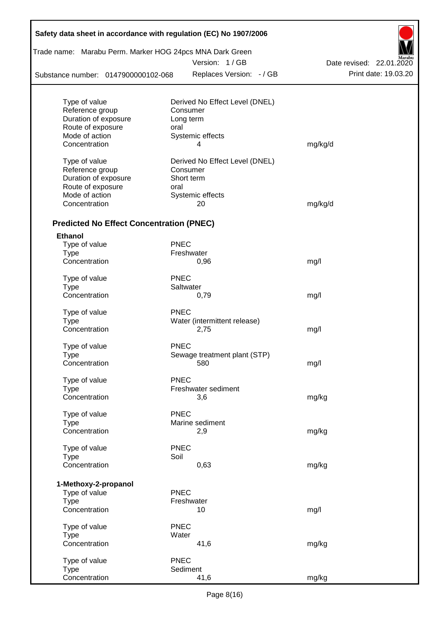| Safety data sheet in accordance with regulation (EC) No 1907/2006 |                  |                                |                          |
|-------------------------------------------------------------------|------------------|--------------------------------|--------------------------|
| Trade name: Marabu Perm. Marker HOG 24pcs MNA Dark Green          |                  |                                |                          |
|                                                                   |                  | Version: 1/GB                  | Date revised: 22.01.2020 |
| Substance number: 0147900000102-068                               |                  | Replaces Version: - / GB       | Print date: 19.03.20     |
| Type of value                                                     |                  | Derived No Effect Level (DNEL) |                          |
| Reference group                                                   | Consumer         |                                |                          |
| Duration of exposure                                              | Long term        |                                |                          |
| Route of exposure                                                 | oral             |                                |                          |
| Mode of action                                                    | Systemic effects |                                |                          |
| Concentration                                                     |                  | 4                              | mg/kg/d                  |
| Type of value                                                     |                  | Derived No Effect Level (DNEL) |                          |
| Reference group                                                   | Consumer         |                                |                          |
| Duration of exposure                                              | Short term       |                                |                          |
| Route of exposure                                                 | oral             |                                |                          |
| Mode of action                                                    | Systemic effects |                                |                          |
| Concentration                                                     |                  | 20                             | mg/kg/d                  |
| <b>Predicted No Effect Concentration (PNEC)</b>                   |                  |                                |                          |
| <b>Ethanol</b>                                                    |                  |                                |                          |
| Type of value                                                     | <b>PNEC</b>      |                                |                          |
| <b>Type</b>                                                       | Freshwater       |                                |                          |
| Concentration                                                     |                  | 0,96                           | mg/l                     |
| Type of value                                                     | <b>PNEC</b>      |                                |                          |
| <b>Type</b>                                                       | Saltwater        |                                |                          |
| Concentration                                                     |                  | 0,79                           | mg/l                     |
| Type of value                                                     | <b>PNEC</b>      |                                |                          |
| <b>Type</b>                                                       |                  | Water (intermittent release)   |                          |
| Concentration                                                     |                  | 2,75                           | mg/l                     |
| Type of value                                                     | <b>PNEC</b>      |                                |                          |
| Type                                                              |                  | Sewage treatment plant (STP)   |                          |
| Concentration                                                     |                  | 580                            | mg/l                     |
| Type of value                                                     | <b>PNEC</b>      |                                |                          |
| <b>Type</b>                                                       |                  | Freshwater sediment            |                          |
| Concentration                                                     |                  | 3,6                            | mg/kg                    |
| Type of value                                                     | <b>PNEC</b>      |                                |                          |
| <b>Type</b>                                                       | Marine sediment  |                                |                          |
| Concentration                                                     |                  | 2,9                            | mg/kg                    |
| Type of value                                                     | <b>PNEC</b>      |                                |                          |
| <b>Type</b>                                                       | Soil             |                                |                          |
| Concentration                                                     |                  | 0,63                           | mg/kg                    |
| 1-Methoxy-2-propanol                                              |                  |                                |                          |
| Type of value                                                     | <b>PNEC</b>      |                                |                          |
| <b>Type</b>                                                       | Freshwater       |                                |                          |
| Concentration                                                     |                  | 10                             | mg/l                     |
| Type of value                                                     | <b>PNEC</b>      |                                |                          |
| <b>Type</b>                                                       | Water            |                                |                          |
| Concentration                                                     |                  | 41,6                           | mg/kg                    |
| Type of value                                                     | <b>PNEC</b>      |                                |                          |
| <b>Type</b>                                                       | Sediment         |                                |                          |
| Concentration                                                     |                  | 41,6                           | mg/kg                    |

Ī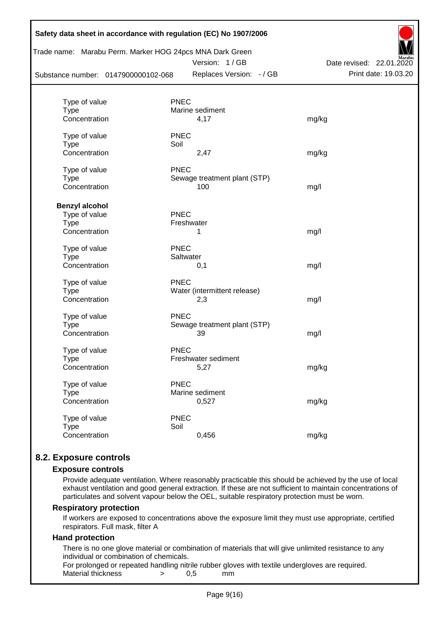| Substance number: 0147900000102-068 | Trade name: Marabu Perm. Marker HOG 24pcs MNA Dark Green<br>Version: 1/GB<br>Replaces Version: - / GB | Marabu<br>Date revised: 22.01.2020<br>Print date: 19.03.20 |
|-------------------------------------|-------------------------------------------------------------------------------------------------------|------------------------------------------------------------|
|                                     |                                                                                                       |                                                            |
| Type of value                       | <b>PNEC</b>                                                                                           |                                                            |
| <b>Type</b>                         | Marine sediment                                                                                       |                                                            |
| Concentration                       | 4,17                                                                                                  | mg/kg                                                      |
| Type of value                       | <b>PNEC</b>                                                                                           |                                                            |
| <b>Type</b>                         | Soil                                                                                                  |                                                            |
| Concentration                       | 2,47                                                                                                  | mg/kg                                                      |
| Type of value                       | <b>PNEC</b>                                                                                           |                                                            |
| <b>Type</b>                         | Sewage treatment plant (STP)                                                                          |                                                            |
| Concentration                       | 100                                                                                                   | mg/l                                                       |
| <b>Benzyl alcohol</b>               |                                                                                                       |                                                            |
| Type of value                       | PNEC                                                                                                  |                                                            |
| <b>Type</b>                         | Freshwater                                                                                            |                                                            |
| Concentration                       | 1                                                                                                     | mg/l                                                       |
| Type of value                       | <b>PNEC</b>                                                                                           |                                                            |
| Type                                | Saltwater                                                                                             |                                                            |
| Concentration                       | 0,1                                                                                                   | mg/l                                                       |
| Type of value                       | <b>PNEC</b>                                                                                           |                                                            |
| <b>Type</b>                         | Water (intermittent release)                                                                          |                                                            |
| Concentration                       | 2,3                                                                                                   | mg/l                                                       |
| Type of value                       | <b>PNEC</b>                                                                                           |                                                            |
| <b>Type</b>                         | Sewage treatment plant (STP)                                                                          |                                                            |
| Concentration                       | 39                                                                                                    | mg/l                                                       |
| Type of value                       | <b>PNEC</b>                                                                                           |                                                            |
| Type                                | Freshwater sediment                                                                                   |                                                            |
| Concentration                       | 5,27                                                                                                  | mg/kg                                                      |
| Type of value                       | <b>PNEC</b>                                                                                           |                                                            |
| <b>Type</b>                         | Marine sediment                                                                                       |                                                            |
| Concentration                       | 0,527                                                                                                 | mg/kg                                                      |
| Type of value                       | <b>PNEC</b>                                                                                           |                                                            |
| <b>Type</b>                         | Soil                                                                                                  |                                                            |
| Concentration                       | 0,456                                                                                                 | mg/kg                                                      |

# **8.2. Exposure controls**

### **Exposure controls**

Provide adequate ventilation. Where reasonably practicable this should be achieved by the use of local exhaust ventilation and good general extraction. If these are not sufficient to maintain concentrations of particulates and solvent vapour below the OEL, suitable respiratory protection must be worn.

### **Respiratory protection**

If workers are exposed to concentrations above the exposure limit they must use appropriate, certified respirators. Full mask, filter A

### **Hand protection**

There is no one glove material or combination of materials that will give unlimited resistance to any individual or combination of chemicals.

For prolonged or repeated handling nitrile rubber gloves with textile undergloves are required. Material thickness  $\rightarrow$  0.5 mm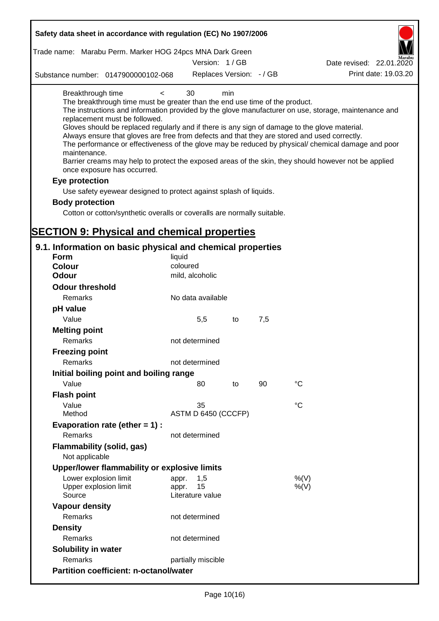| Safety data sheet in accordance with regulation (EC) No 1907/2006                                                                                                                                                                                                                                                                                                                            |                                                 |     |     |                                                                                                                                                                                                                                                                                                                    |
|----------------------------------------------------------------------------------------------------------------------------------------------------------------------------------------------------------------------------------------------------------------------------------------------------------------------------------------------------------------------------------------------|-------------------------------------------------|-----|-----|--------------------------------------------------------------------------------------------------------------------------------------------------------------------------------------------------------------------------------------------------------------------------------------------------------------------|
| Trade name: Marabu Perm. Marker HOG 24pcs MNA Dark Green                                                                                                                                                                                                                                                                                                                                     |                                                 |     |     |                                                                                                                                                                                                                                                                                                                    |
|                                                                                                                                                                                                                                                                                                                                                                                              | Version: 1/GB                                   |     |     | Date revised: 22.01.2020                                                                                                                                                                                                                                                                                           |
| Substance number: 0147900000102-068                                                                                                                                                                                                                                                                                                                                                          | Replaces Version: - / GB                        |     |     | Print date: 19.03.20                                                                                                                                                                                                                                                                                               |
| Breakthrough time<br>$\,<\,$<br>The breakthrough time must be greater than the end use time of the product.<br>replacement must be followed.<br>Gloves should be replaced regularly and if there is any sign of damage to the glove material.<br>Always ensure that gloves are free from defects and that they are stored and used correctly.<br>maintenance.<br>once exposure has occurred. | 30                                              | min |     | The instructions and information provided by the glove manufacturer on use, storage, maintenance and<br>The performance or effectiveness of the glove may be reduced by physical/ chemical damage and poor<br>Barrier creams may help to protect the exposed areas of the skin, they should however not be applied |
| Eye protection                                                                                                                                                                                                                                                                                                                                                                               |                                                 |     |     |                                                                                                                                                                                                                                                                                                                    |
| Use safety eyewear designed to protect against splash of liquids.                                                                                                                                                                                                                                                                                                                            |                                                 |     |     |                                                                                                                                                                                                                                                                                                                    |
| <b>Body protection</b>                                                                                                                                                                                                                                                                                                                                                                       |                                                 |     |     |                                                                                                                                                                                                                                                                                                                    |
| Cotton or cotton/synthetic overalls or coveralls are normally suitable.                                                                                                                                                                                                                                                                                                                      |                                                 |     |     |                                                                                                                                                                                                                                                                                                                    |
|                                                                                                                                                                                                                                                                                                                                                                                              |                                                 |     |     |                                                                                                                                                                                                                                                                                                                    |
| <b>SECTION 9: Physical and chemical properties</b>                                                                                                                                                                                                                                                                                                                                           |                                                 |     |     |                                                                                                                                                                                                                                                                                                                    |
| 9.1. Information on basic physical and chemical properties                                                                                                                                                                                                                                                                                                                                   |                                                 |     |     |                                                                                                                                                                                                                                                                                                                    |
| <b>Form</b>                                                                                                                                                                                                                                                                                                                                                                                  | liquid                                          |     |     |                                                                                                                                                                                                                                                                                                                    |
| <b>Colour</b>                                                                                                                                                                                                                                                                                                                                                                                | coloured                                        |     |     |                                                                                                                                                                                                                                                                                                                    |
| <b>Odour</b>                                                                                                                                                                                                                                                                                                                                                                                 | mild, alcoholic                                 |     |     |                                                                                                                                                                                                                                                                                                                    |
| <b>Odour threshold</b>                                                                                                                                                                                                                                                                                                                                                                       |                                                 |     |     |                                                                                                                                                                                                                                                                                                                    |
| Remarks                                                                                                                                                                                                                                                                                                                                                                                      | No data available                               |     |     |                                                                                                                                                                                                                                                                                                                    |
| pH value                                                                                                                                                                                                                                                                                                                                                                                     |                                                 |     |     |                                                                                                                                                                                                                                                                                                                    |
| Value                                                                                                                                                                                                                                                                                                                                                                                        | 5,5                                             | to  | 7,5 |                                                                                                                                                                                                                                                                                                                    |
| <b>Melting point</b>                                                                                                                                                                                                                                                                                                                                                                         |                                                 |     |     |                                                                                                                                                                                                                                                                                                                    |
| Remarks                                                                                                                                                                                                                                                                                                                                                                                      | not determined                                  |     |     |                                                                                                                                                                                                                                                                                                                    |
| <b>Freezing point</b>                                                                                                                                                                                                                                                                                                                                                                        |                                                 |     |     |                                                                                                                                                                                                                                                                                                                    |
| Remarks                                                                                                                                                                                                                                                                                                                                                                                      | not determined                                  |     |     |                                                                                                                                                                                                                                                                                                                    |
| Initial boiling point and boiling range                                                                                                                                                                                                                                                                                                                                                      |                                                 |     |     |                                                                                                                                                                                                                                                                                                                    |
| Value                                                                                                                                                                                                                                                                                                                                                                                        | 80                                              | to  | 90  | $\rm ^{\circ}C$                                                                                                                                                                                                                                                                                                    |
| <b>Flash point</b>                                                                                                                                                                                                                                                                                                                                                                           |                                                 |     |     |                                                                                                                                                                                                                                                                                                                    |
| Value                                                                                                                                                                                                                                                                                                                                                                                        | 35                                              |     |     | $^{\circ}C$                                                                                                                                                                                                                                                                                                        |
| Method                                                                                                                                                                                                                                                                                                                                                                                       | ASTM D 6450 (CCCFP)                             |     |     |                                                                                                                                                                                                                                                                                                                    |
| Evaporation rate (ether $= 1$ ) :                                                                                                                                                                                                                                                                                                                                                            |                                                 |     |     |                                                                                                                                                                                                                                                                                                                    |
| Remarks                                                                                                                                                                                                                                                                                                                                                                                      | not determined                                  |     |     |                                                                                                                                                                                                                                                                                                                    |
| <b>Flammability (solid, gas)</b>                                                                                                                                                                                                                                                                                                                                                             |                                                 |     |     |                                                                                                                                                                                                                                                                                                                    |
| Not applicable                                                                                                                                                                                                                                                                                                                                                                               |                                                 |     |     |                                                                                                                                                                                                                                                                                                                    |
| Upper/lower flammability or explosive limits                                                                                                                                                                                                                                                                                                                                                 |                                                 |     |     |                                                                                                                                                                                                                                                                                                                    |
| Lower explosion limit<br>Upper explosion limit<br>Source                                                                                                                                                                                                                                                                                                                                     | 1,5<br>appr.<br>15<br>appr.<br>Literature value |     |     | %(V)<br>$%$ (V)                                                                                                                                                                                                                                                                                                    |
| <b>Vapour density</b>                                                                                                                                                                                                                                                                                                                                                                        |                                                 |     |     |                                                                                                                                                                                                                                                                                                                    |
| Remarks                                                                                                                                                                                                                                                                                                                                                                                      | not determined                                  |     |     |                                                                                                                                                                                                                                                                                                                    |
| <b>Density</b>                                                                                                                                                                                                                                                                                                                                                                               |                                                 |     |     |                                                                                                                                                                                                                                                                                                                    |
| Remarks                                                                                                                                                                                                                                                                                                                                                                                      | not determined                                  |     |     |                                                                                                                                                                                                                                                                                                                    |
| Solubility in water                                                                                                                                                                                                                                                                                                                                                                          |                                                 |     |     |                                                                                                                                                                                                                                                                                                                    |
| Remarks                                                                                                                                                                                                                                                                                                                                                                                      | partially miscible                              |     |     |                                                                                                                                                                                                                                                                                                                    |
| <b>Partition coefficient: n-octanol/water</b>                                                                                                                                                                                                                                                                                                                                                |                                                 |     |     |                                                                                                                                                                                                                                                                                                                    |
|                                                                                                                                                                                                                                                                                                                                                                                              |                                                 |     |     |                                                                                                                                                                                                                                                                                                                    |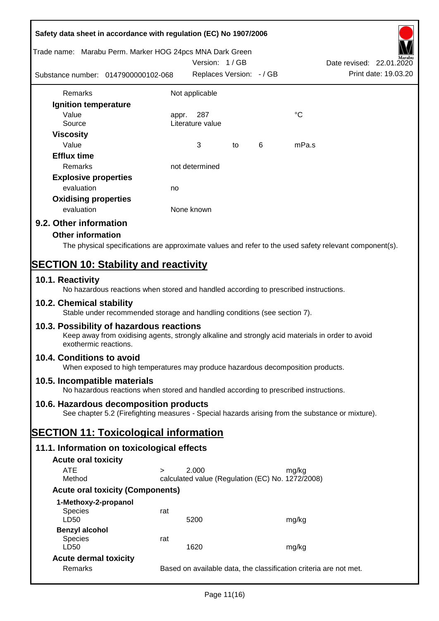|                                                          | Safety data sheet in accordance with regulation (EC) No 1907/2006                                                                            |       |                                                  |    |   |             |                                                                                                        |
|----------------------------------------------------------|----------------------------------------------------------------------------------------------------------------------------------------------|-------|--------------------------------------------------|----|---|-------------|--------------------------------------------------------------------------------------------------------|
| Trade name: Marabu Perm. Marker HOG 24pcs MNA Dark Green |                                                                                                                                              |       | Version: 1/GB                                    |    |   |             | Date revised: 22.01.2020                                                                               |
|                                                          | Substance number: 0147900000102-068                                                                                                          |       | Replaces Version: - / GB                         |    |   |             | Print date: 19.03.20                                                                                   |
| Remarks                                                  |                                                                                                                                              |       | Not applicable                                   |    |   |             |                                                                                                        |
| Ignition temperature                                     |                                                                                                                                              |       |                                                  |    |   |             |                                                                                                        |
| Value<br>Source                                          |                                                                                                                                              | appr. | 287<br>Literature value                          |    |   | $^{\circ}C$ |                                                                                                        |
| <b>Viscosity</b>                                         |                                                                                                                                              |       |                                                  |    |   |             |                                                                                                        |
| Value                                                    |                                                                                                                                              |       | 3                                                | to | 6 | mPa.s       |                                                                                                        |
| <b>Efflux time</b>                                       |                                                                                                                                              |       |                                                  |    |   |             |                                                                                                        |
| Remarks                                                  |                                                                                                                                              |       | not determined                                   |    |   |             |                                                                                                        |
| <b>Explosive properties</b>                              |                                                                                                                                              |       |                                                  |    |   |             |                                                                                                        |
| evaluation                                               |                                                                                                                                              | no    |                                                  |    |   |             |                                                                                                        |
| <b>Oxidising properties</b>                              |                                                                                                                                              |       |                                                  |    |   |             |                                                                                                        |
| evaluation                                               |                                                                                                                                              |       | None known                                       |    |   |             |                                                                                                        |
| 9.2. Other information                                   |                                                                                                                                              |       |                                                  |    |   |             |                                                                                                        |
| <b>Other information</b>                                 |                                                                                                                                              |       |                                                  |    |   |             |                                                                                                        |
|                                                          |                                                                                                                                              |       |                                                  |    |   |             | The physical specifications are approximate values and refer to the used safety relevant component(s). |
|                                                          | <b>SECTION 10: Stability and reactivity</b>                                                                                                  |       |                                                  |    |   |             |                                                                                                        |
| 10.1. Reactivity                                         | No hazardous reactions when stored and handled according to prescribed instructions.                                                         |       |                                                  |    |   |             |                                                                                                        |
| 10.2. Chemical stability                                 | Stable under recommended storage and handling conditions (see section 7).                                                                    |       |                                                  |    |   |             |                                                                                                        |
| exothermic reactions.                                    | 10.3. Possibility of hazardous reactions<br>Keep away from oxidising agents, strongly alkaline and strongly acid materials in order to avoid |       |                                                  |    |   |             |                                                                                                        |
| 10.4. Conditions to avoid                                | When exposed to high temperatures may produce hazardous decomposition products.                                                              |       |                                                  |    |   |             |                                                                                                        |
| 10.5. Incompatible materials                             | No hazardous reactions when stored and handled according to prescribed instructions.                                                         |       |                                                  |    |   |             |                                                                                                        |
|                                                          | 10.6. Hazardous decomposition products<br>See chapter 5.2 (Firefighting measures - Special hazards arising from the substance or mixture).   |       |                                                  |    |   |             |                                                                                                        |
|                                                          | <b>SECTION 11: Toxicological information</b>                                                                                                 |       |                                                  |    |   |             |                                                                                                        |
|                                                          | 11.1. Information on toxicological effects                                                                                                   |       |                                                  |    |   |             |                                                                                                        |
| <b>Acute oral toxicity</b>                               |                                                                                                                                              |       |                                                  |    |   |             |                                                                                                        |
| <b>ATE</b>                                               | $\geq$                                                                                                                                       |       | 2.000                                            |    |   | mg/kg       |                                                                                                        |
| Method                                                   |                                                                                                                                              |       | calculated value (Regulation (EC) No. 1272/2008) |    |   |             |                                                                                                        |
|                                                          | <b>Acute oral toxicity (Components)</b>                                                                                                      |       |                                                  |    |   |             |                                                                                                        |
| 1-Methoxy-2-propanol                                     |                                                                                                                                              |       |                                                  |    |   |             |                                                                                                        |
| Species<br>LD50                                          | rat                                                                                                                                          |       | 5200                                             |    |   | mg/kg       |                                                                                                        |
| <b>Benzyl alcohol</b><br><b>Species</b><br>LD50          | rat                                                                                                                                          |       | 1620                                             |    |   | mg/kg       |                                                                                                        |
| <b>Acute dermal toxicity</b>                             |                                                                                                                                              |       |                                                  |    |   |             |                                                                                                        |
| Remarks                                                  |                                                                                                                                              |       |                                                  |    |   |             | Based on available data, the classification criteria are not met.                                      |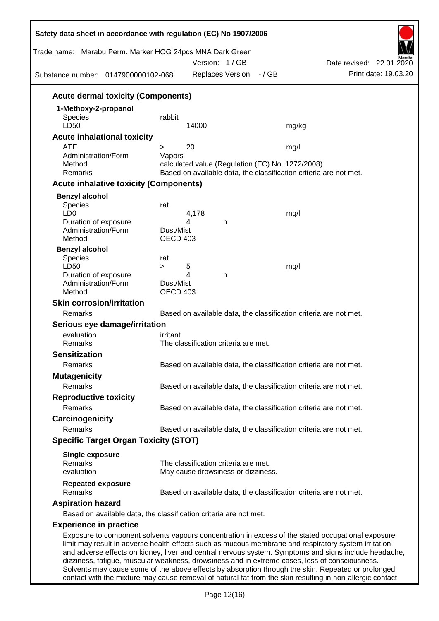| Trade name: Marabu Perm. Marker HOG 24pcs MNA Dark Green<br>Substance number: 0147900000102-068                                                                                                                                                                                                                                                                                                                       |                              |            | Version: 1/GB<br>Replaces Version: - / GB                                  |                                                  | Date revised: 22.01.2020                                          | Print date: 19.03.20 |
|-----------------------------------------------------------------------------------------------------------------------------------------------------------------------------------------------------------------------------------------------------------------------------------------------------------------------------------------------------------------------------------------------------------------------|------------------------------|------------|----------------------------------------------------------------------------|--------------------------------------------------|-------------------------------------------------------------------|----------------------|
|                                                                                                                                                                                                                                                                                                                                                                                                                       |                              |            |                                                                            |                                                  |                                                                   |                      |
| <b>Acute dermal toxicity (Components)</b>                                                                                                                                                                                                                                                                                                                                                                             |                              |            |                                                                            |                                                  |                                                                   |                      |
| 1-Methoxy-2-propanol<br><b>Species</b><br>LD50                                                                                                                                                                                                                                                                                                                                                                        | rabbit                       | 14000      |                                                                            | mg/kg                                            |                                                                   |                      |
| <b>Acute inhalational toxicity</b>                                                                                                                                                                                                                                                                                                                                                                                    |                              |            |                                                                            |                                                  |                                                                   |                      |
| <b>ATE</b>                                                                                                                                                                                                                                                                                                                                                                                                            | >                            | 20         |                                                                            | mg/l                                             |                                                                   |                      |
| Administration/Form<br>Method<br>Remarks                                                                                                                                                                                                                                                                                                                                                                              | Vapors                       |            |                                                                            | calculated value (Regulation (EC) No. 1272/2008) | Based on available data, the classification criteria are not met. |                      |
| <b>Acute inhalative toxicity (Components)</b>                                                                                                                                                                                                                                                                                                                                                                         |                              |            |                                                                            |                                                  |                                                                   |                      |
| <b>Benzyl alcohol</b>                                                                                                                                                                                                                                                                                                                                                                                                 |                              |            |                                                                            |                                                  |                                                                   |                      |
| Species<br>LD <sub>0</sub><br>Duration of exposure<br>Administration/Form<br>Method                                                                                                                                                                                                                                                                                                                                   | rat<br>Dust/Mist<br>OECD 403 | 4,178<br>4 | h                                                                          | mg/l                                             |                                                                   |                      |
| <b>Benzyl alcohol</b><br>Species<br>LD50<br>Duration of exposure<br>Administration/Form                                                                                                                                                                                                                                                                                                                               | rat<br>$\geq$<br>Dust/Mist   | 5<br>4     | h                                                                          | mg/l                                             |                                                                   |                      |
| Method                                                                                                                                                                                                                                                                                                                                                                                                                | OECD 403                     |            |                                                                            |                                                  |                                                                   |                      |
| <b>Skin corrosion/irritation</b>                                                                                                                                                                                                                                                                                                                                                                                      |                              |            |                                                                            |                                                  |                                                                   |                      |
| Remarks                                                                                                                                                                                                                                                                                                                                                                                                               |                              |            |                                                                            |                                                  | Based on available data, the classification criteria are not met. |                      |
| Serious eye damage/irritation                                                                                                                                                                                                                                                                                                                                                                                         |                              |            |                                                                            |                                                  |                                                                   |                      |
| evaluation                                                                                                                                                                                                                                                                                                                                                                                                            | irritant                     |            |                                                                            |                                                  |                                                                   |                      |
| Remarks                                                                                                                                                                                                                                                                                                                                                                                                               |                              |            | The classification criteria are met.                                       |                                                  |                                                                   |                      |
| <b>Sensitization</b><br>Remarks                                                                                                                                                                                                                                                                                                                                                                                       |                              |            |                                                                            |                                                  | Based on available data, the classification criteria are not met. |                      |
| <b>Mutagenicity</b>                                                                                                                                                                                                                                                                                                                                                                                                   |                              |            |                                                                            |                                                  |                                                                   |                      |
| Remarks                                                                                                                                                                                                                                                                                                                                                                                                               |                              |            |                                                                            |                                                  | Based on available data, the classification criteria are not met. |                      |
| <b>Reproductive toxicity</b>                                                                                                                                                                                                                                                                                                                                                                                          |                              |            |                                                                            |                                                  |                                                                   |                      |
| Remarks                                                                                                                                                                                                                                                                                                                                                                                                               |                              |            |                                                                            |                                                  | Based on available data, the classification criteria are not met. |                      |
| Carcinogenicity                                                                                                                                                                                                                                                                                                                                                                                                       |                              |            |                                                                            |                                                  |                                                                   |                      |
| <b>Remarks</b>                                                                                                                                                                                                                                                                                                                                                                                                        |                              |            |                                                                            |                                                  | Based on available data, the classification criteria are not met. |                      |
| <b>Specific Target Organ Toxicity (STOT)</b>                                                                                                                                                                                                                                                                                                                                                                          |                              |            |                                                                            |                                                  |                                                                   |                      |
| <b>Single exposure</b>                                                                                                                                                                                                                                                                                                                                                                                                |                              |            |                                                                            |                                                  |                                                                   |                      |
| Remarks<br>evaluation                                                                                                                                                                                                                                                                                                                                                                                                 |                              |            | The classification criteria are met.<br>May cause drowsiness or dizziness. |                                                  |                                                                   |                      |
| <b>Repeated exposure</b><br>Remarks                                                                                                                                                                                                                                                                                                                                                                                   |                              |            |                                                                            |                                                  | Based on available data, the classification criteria are not met. |                      |
| <b>Aspiration hazard</b>                                                                                                                                                                                                                                                                                                                                                                                              |                              |            |                                                                            |                                                  |                                                                   |                      |
| Based on available data, the classification criteria are not met.                                                                                                                                                                                                                                                                                                                                                     |                              |            |                                                                            |                                                  |                                                                   |                      |
| <b>Experience in practice</b>                                                                                                                                                                                                                                                                                                                                                                                         |                              |            |                                                                            |                                                  |                                                                   |                      |
| Exposure to component solvents vapours concentration in excess of the stated occupational exposure<br>limit may result in adverse health effects such as mucous membrane and respiratory system irritation<br>and adverse effects on kidney, liver and central nervous system. Symptoms and signs include headache,<br>dizziness, fatigue, muscular weakness, drowsiness and in extreme cases, loss of consciousness. |                              |            |                                                                            |                                                  |                                                                   |                      |

Solvents may cause some of the above effects by absorption through the skin. Repeated or prolonged contact with the mixture may cause removal of natural fat from the skin resulting in non-allergic contact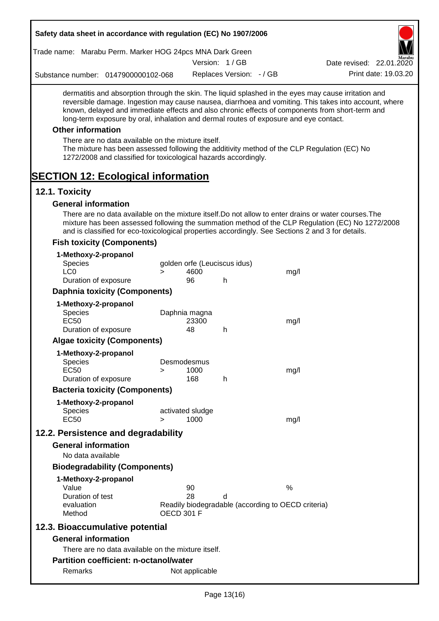| Safety data sheet in accordance with regulation (EC) No 1907/2006                                                                                                                                                                                                                                                                                                                                                                                                                                                                                    |                   |                     |                              |                                                    |                                                                                                       |
|------------------------------------------------------------------------------------------------------------------------------------------------------------------------------------------------------------------------------------------------------------------------------------------------------------------------------------------------------------------------------------------------------------------------------------------------------------------------------------------------------------------------------------------------------|-------------------|---------------------|------------------------------|----------------------------------------------------|-------------------------------------------------------------------------------------------------------|
| Trade name: Marabu Perm. Marker HOG 24pcs MNA Dark Green                                                                                                                                                                                                                                                                                                                                                                                                                                                                                             |                   |                     |                              |                                                    |                                                                                                       |
|                                                                                                                                                                                                                                                                                                                                                                                                                                                                                                                                                      |                   |                     | Version: 1/GB                |                                                    | Date revised: 22.01.2020                                                                              |
| Substance number: 0147900000102-068                                                                                                                                                                                                                                                                                                                                                                                                                                                                                                                  |                   |                     | Replaces Version: - / GB     |                                                    | Print date: 19.03.20                                                                                  |
| dermatitis and absorption through the skin. The liquid splashed in the eyes may cause irritation and<br>known, delayed and immediate effects and also chronic effects of components from short-term and<br>long-term exposure by oral, inhalation and dermal routes of exposure and eye contact.<br><b>Other information</b><br>There are no data available on the mixture itself.<br>The mixture has been assessed following the additivity method of the CLP Regulation (EC) No<br>1272/2008 and classified for toxicological hazards accordingly. |                   |                     |                              |                                                    | reversible damage. Ingestion may cause nausea, diarrhoea and vomiting. This takes into account, where |
| <b>SECTION 12: Ecological information</b>                                                                                                                                                                                                                                                                                                                                                                                                                                                                                                            |                   |                     |                              |                                                    |                                                                                                       |
| 12.1. Toxicity                                                                                                                                                                                                                                                                                                                                                                                                                                                                                                                                       |                   |                     |                              |                                                    |                                                                                                       |
| <b>General information</b>                                                                                                                                                                                                                                                                                                                                                                                                                                                                                                                           |                   |                     |                              |                                                    |                                                                                                       |
| There are no data available on the mixture itself. Do not allow to enter drains or water courses. The<br>mixture has been assessed following the summation method of the CLP Regulation (EC) No 1272/2008<br>and is classified for eco-toxicological properties accordingly. See Sections 2 and 3 for details.<br><b>Fish toxicity (Components)</b>                                                                                                                                                                                                  |                   |                     |                              |                                                    |                                                                                                       |
|                                                                                                                                                                                                                                                                                                                                                                                                                                                                                                                                                      |                   |                     |                              |                                                    |                                                                                                       |
| 1-Methoxy-2-propanol<br><b>Species</b>                                                                                                                                                                                                                                                                                                                                                                                                                                                                                                               |                   |                     | golden orfe (Leuciscus idus) |                                                    |                                                                                                       |
| LC <sub>0</sub>                                                                                                                                                                                                                                                                                                                                                                                                                                                                                                                                      | $\geq$            | 4600                |                              | mg/l                                               |                                                                                                       |
| Duration of exposure                                                                                                                                                                                                                                                                                                                                                                                                                                                                                                                                 |                   | 96                  | h                            |                                                    |                                                                                                       |
| <b>Daphnia toxicity (Components)</b>                                                                                                                                                                                                                                                                                                                                                                                                                                                                                                                 |                   |                     |                              |                                                    |                                                                                                       |
| 1-Methoxy-2-propanol                                                                                                                                                                                                                                                                                                                                                                                                                                                                                                                                 |                   |                     |                              |                                                    |                                                                                                       |
| <b>Species</b>                                                                                                                                                                                                                                                                                                                                                                                                                                                                                                                                       |                   | Daphnia magna       |                              |                                                    |                                                                                                       |
| <b>EC50</b>                                                                                                                                                                                                                                                                                                                                                                                                                                                                                                                                          |                   | 23300               |                              | mg/l                                               |                                                                                                       |
| Duration of exposure                                                                                                                                                                                                                                                                                                                                                                                                                                                                                                                                 |                   | 48                  | h                            |                                                    |                                                                                                       |
| <b>Algae toxicity (Components)</b>                                                                                                                                                                                                                                                                                                                                                                                                                                                                                                                   |                   |                     |                              |                                                    |                                                                                                       |
| 1-Methoxy-2-propanol                                                                                                                                                                                                                                                                                                                                                                                                                                                                                                                                 |                   |                     |                              |                                                    |                                                                                                       |
| <b>Species</b><br><b>EC50</b>                                                                                                                                                                                                                                                                                                                                                                                                                                                                                                                        |                   | Desmodesmus<br>1000 |                              |                                                    |                                                                                                       |
| Duration of exposure                                                                                                                                                                                                                                                                                                                                                                                                                                                                                                                                 | >                 | 168                 | h                            | mg/l                                               |                                                                                                       |
| <b>Bacteria toxicity (Components)</b>                                                                                                                                                                                                                                                                                                                                                                                                                                                                                                                |                   |                     |                              |                                                    |                                                                                                       |
|                                                                                                                                                                                                                                                                                                                                                                                                                                                                                                                                                      |                   |                     |                              |                                                    |                                                                                                       |
| 1-Methoxy-2-propanol<br><b>Species</b>                                                                                                                                                                                                                                                                                                                                                                                                                                                                                                               |                   | activated sludge    |                              |                                                    |                                                                                                       |
| <b>EC50</b>                                                                                                                                                                                                                                                                                                                                                                                                                                                                                                                                          | $\geq$            | 1000                |                              | mg/l                                               |                                                                                                       |
| 12.2. Persistence and degradability                                                                                                                                                                                                                                                                                                                                                                                                                                                                                                                  |                   |                     |                              |                                                    |                                                                                                       |
| <b>General information</b>                                                                                                                                                                                                                                                                                                                                                                                                                                                                                                                           |                   |                     |                              |                                                    |                                                                                                       |
| No data available                                                                                                                                                                                                                                                                                                                                                                                                                                                                                                                                    |                   |                     |                              |                                                    |                                                                                                       |
| <b>Biodegradability (Components)</b>                                                                                                                                                                                                                                                                                                                                                                                                                                                                                                                 |                   |                     |                              |                                                    |                                                                                                       |
|                                                                                                                                                                                                                                                                                                                                                                                                                                                                                                                                                      |                   |                     |                              |                                                    |                                                                                                       |
| 1-Methoxy-2-propanol<br>Value                                                                                                                                                                                                                                                                                                                                                                                                                                                                                                                        |                   | 90                  |                              | %                                                  |                                                                                                       |
| Duration of test                                                                                                                                                                                                                                                                                                                                                                                                                                                                                                                                     |                   | 28                  | d                            |                                                    |                                                                                                       |
| evaluation<br>Method                                                                                                                                                                                                                                                                                                                                                                                                                                                                                                                                 | <b>OECD 301 F</b> |                     |                              | Readily biodegradable (according to OECD criteria) |                                                                                                       |
| 12.3. Bioaccumulative potential                                                                                                                                                                                                                                                                                                                                                                                                                                                                                                                      |                   |                     |                              |                                                    |                                                                                                       |
| <b>General information</b>                                                                                                                                                                                                                                                                                                                                                                                                                                                                                                                           |                   |                     |                              |                                                    |                                                                                                       |
| There are no data available on the mixture itself.                                                                                                                                                                                                                                                                                                                                                                                                                                                                                                   |                   |                     |                              |                                                    |                                                                                                       |
| <b>Partition coefficient: n-octanol/water</b>                                                                                                                                                                                                                                                                                                                                                                                                                                                                                                        |                   |                     |                              |                                                    |                                                                                                       |
| Remarks                                                                                                                                                                                                                                                                                                                                                                                                                                                                                                                                              |                   |                     |                              |                                                    |                                                                                                       |
|                                                                                                                                                                                                                                                                                                                                                                                                                                                                                                                                                      |                   | Not applicable      |                              |                                                    |                                                                                                       |

 $\mathbf l$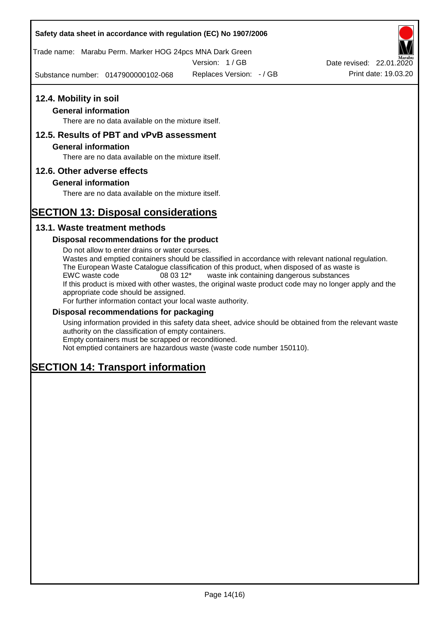Trade name: Marabu Perm. Marker HOG 24pcs MNA Dark Green

Version: 1 / GB

Substance number: 0147900000102-068 Replaces Version:  $-$  / GB Print date: 19.03.20



### **General information**

There are no data available on the mixture itself.

## **12.5. Results of PBT and vPvB assessment**

### **General information**

There are no data available on the mixture itself.

### **12.6. Other adverse effects**

### **General information**

There are no data available on the mixture itself.

# **SECTION 13: Disposal considerations**

### **13.1. Waste treatment methods**

### **Disposal recommendations for the product**

Do not allow to enter drains or water courses. Wastes and emptied containers should be classified in accordance with relevant national regulation. The European Waste Catalogue classification of this product, when disposed of as waste is EWC waste code 08 03 12\* waste ink containing dangerous substances If this product is mixed with other wastes, the original waste product code may no longer apply and the appropriate code should be assigned. For further information contact your local waste authority.

### **Disposal recommendations for packaging**

Using information provided in this safety data sheet, advice should be obtained from the relevant waste authority on the classification of empty containers. Empty containers must be scrapped or reconditioned.

Not emptied containers are hazardous waste (waste code number 150110).

# **SECTION 14: Transport information**

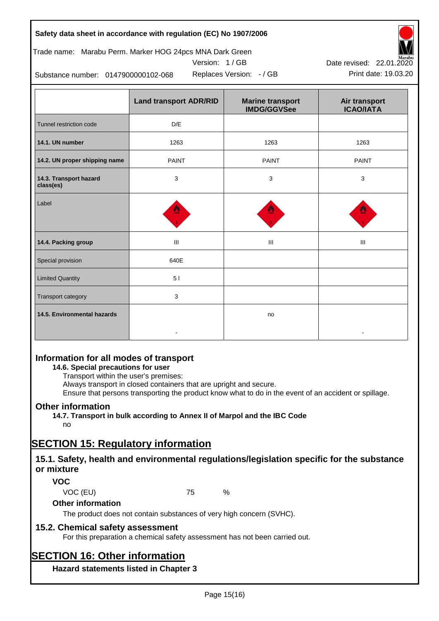# Trade name: Marabu Perm. Marker HOG 24pcs MNA Dark Green

Version: 1 / GB



Replaces Version:  $-$  / GB Print date: 19.03.20 Date revised: 22.01.2020

Substance number: 0147900000102-068

|                                     | <b>Land transport ADR/RID</b> | <b>Marine transport</b><br><b>IMDG/GGVSee</b> | Air transport<br><b>ICAO/IATA</b> |
|-------------------------------------|-------------------------------|-----------------------------------------------|-----------------------------------|
| Tunnel restriction code             | D/E                           |                                               |                                   |
| 14.1. UN number                     | 1263                          | 1263                                          | 1263                              |
| 14.2. UN proper shipping name       | <b>PAINT</b>                  | <b>PAINT</b>                                  | <b>PAINT</b>                      |
| 14.3. Transport hazard<br>class(es) | 3                             | 3                                             | 3                                 |
| Label                               |                               |                                               |                                   |
| 14.4. Packing group                 | Ш                             | Ш                                             | III                               |
| Special provision                   | 640E                          |                                               |                                   |
| <b>Limited Quantity</b>             | 51                            |                                               |                                   |
| Transport category                  | 3                             |                                               |                                   |
| 14.5. Environmental hazards         |                               | no                                            |                                   |

# **Information for all modes of transport**

### **14.6. Special precautions for user**

Transport within the user's premises:

Always transport in closed containers that are upright and secure.

Ensure that persons transporting the product know what to do in the event of an accident or spillage.

## **Other information**

**14.7. Transport in bulk according to Annex II of Marpol and the IBC Code** no

# **SECTION 15: Regulatory information**

## **15.1. Safety, health and environmental regulations/legislation specific for the substance or mixture**

## **VOC**

VOC (EU) 75 %

## **Other information**

The product does not contain substances of very high concern (SVHC).

## **15.2. Chemical safety assessment**

For this preparation a chemical safety assessment has not been carried out.

# **SECTION 16: Other information**

**Hazard statements listed in Chapter 3**